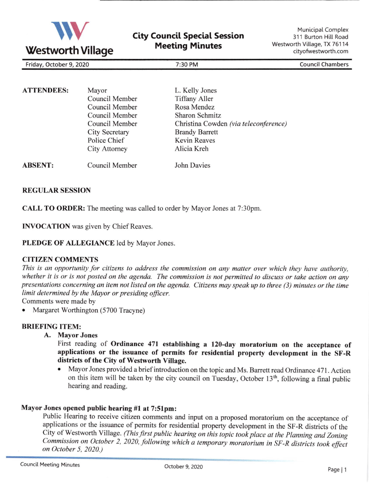

| Friday, October 9, 2020 | 30 PM<br>:30 | <b>Council Chambers</b> |
|-------------------------|--------------|-------------------------|

| <b>ATTENDEES:</b> | Mayor                 | L. Kelly Jones                        |
|-------------------|-----------------------|---------------------------------------|
|                   | Council Member        | <b>Tiffany Aller</b>                  |
|                   | Council Member        | Rosa Mendez                           |
|                   | Council Member        | <b>Sharon Schmitz</b>                 |
|                   | Council Member        | Christina Cowden (via teleconference) |
|                   | <b>City Secretary</b> | <b>Brandy Barrett</b>                 |
|                   | Police Chief          | <b>Kevin Reaves</b>                   |
|                   | <b>City Attorney</b>  | Alicia Kreh                           |
| <b>ABSENT:</b>    | Council Member        | John Davies                           |

#### REGULAR SESSION

CALL TO ORDER: The meeting was called to order by Mayor Jones at 7:30pm.

INVOCATION was given by Chief Reaves

PLEDGE OF ALLEGIANCE led by Mayor Jones.

#### CITIZEN COMMENTS

This is an opportunity for citizens to address the commission on any matter over which they have authority, whether it is or is not posted on the agenda. The commission is not permitted to discuss or take action on any presentations concerning an item not listed on the qgenda. Citizens may speak up to three (3) minutes or the time linit determined by the Mayor or presiding oficer.

Comments were made by

Margaret Worthington (5700 Tracyne)

## BRIEFING ITEM:

A. Mayor Jones

First reading of Ordinance 471 establishing a 120-day moratorium on the acceptance of applications or the issuance of permits for residential property development in the SF-R districts of the City of Westworth Village.

. Mayor Jones provided a brief introduction on the topic and Ms. Barrett read Ordinance 471 . Action on this item will be taken by the city council on Tuesday, October  $13<sup>th</sup>$ , following a final public hearing and reading.

### Mayor Jones opened public hearing #l at 7:5lpm:

Public Hearing to receive citizen comments and input on a proposed moratorium on the acceptance of applications or the issuance of permits for residential property development in the SF-R districts of the City of Westworth Village. (This first public hearing on this topic took place at the Planning and Zoning Commission on October 2, 2020, following which a temporary moratorium in SF-R districts took effect<br>on October 5, 2020.)